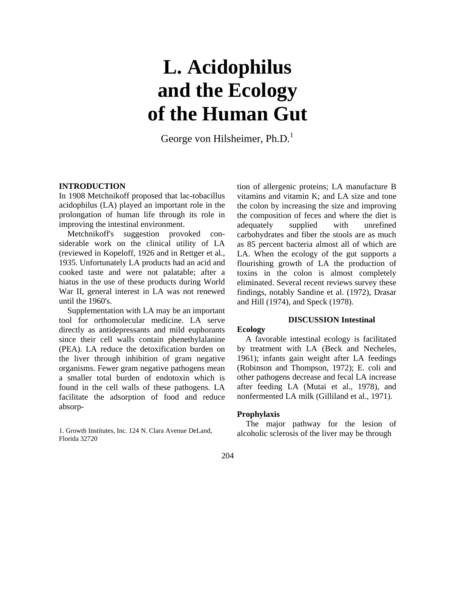# **L. Acidophilus and the Ecology of the Human Gut**

George von Hilsheimer, Ph.D.<sup>1</sup>

# **INTRODUCTION**

In 1908 Metchnikoff proposed that lac-tobacillus acidophilus (LA) played an important role in the prolongation of human life through its role in improving the intestinal environment.

Metchnikoff's suggestion provoked considerable work on the clinical utility of LA (reviewed in Kopeloff, 1926 and in Rettger et al., 1935. Unfortunately LA products had an acid and cooked taste and were not palatable; after a hiatus in the use of these products during World War II, general interest in LA was not renewed until the 1960's.

Supplementation with LA may be an important tool for orthomolecular medicine. LA serve directly as antidepressants and mild euphorants since their cell walls contain phenethylalanine (PEA). LA reduce the detoxification burden on the liver through inhibition of gram negative organisms. Fewer gram negative pathogens mean a smaller total burden of endotoxin which is found in the cell walls of these pathogens. LA facilitate the adsorption of food and reduce absorp-

1. Growth Institutes, Inc. 124 N. Clara Avenue DeLand, Florida 32720

tion of allergenic proteins; LA manufacture B vitamins and vitamin K; and LA size and tone the colon by increasing the size and improving the composition of feces and where the diet is adequately supplied with unrefined carbohydrates and fiber the stools are as much as 85 percent bacteria almost all of which are LA. When the ecology of the gut supports a flourishing growth of LA the production of toxins in the colon is almost completely eliminated. Several recent reviews survey these findings, notably Sandine et al. (1972), Drasar and Hill (1974), and Speck (1978).

# **DISCUSSION Intestinal**

# **Ecology**

A favorable intestinal ecology is facilitated by treatment with LA (Beck and Necheles, 1961); infants gain weight after LA feedings (Robinson and Thompson, 1972); E. coli and other pathogens decrease and fecal LA increase after feeding LA (Mutai et al., 1978), and nonfermented LA milk (Gilliland et al., 1971).

# **Prophylaxis**

The major pathway for the lesion of alcoholic sclerosis of the liver may be through

### 204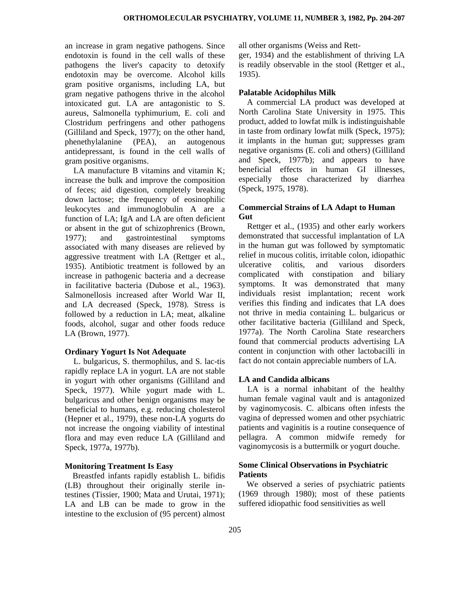an increase in gram negative pathogens. Since endotoxin is found in the cell walls of these pathogens the liver's capacity to detoxify endotoxin may be overcome. Alcohol kills gram positive organisms, including LA, but gram negative pathogens thrive in the alcohol intoxicated gut. LA are antagonistic to S. aureus, Salmonella typhimurium, E. coli and Clostridum perfringens and other pathogens (Gilliland and Speck, 1977); on the other hand, phenethylalanine (PEA), an autogenous antidepressant, is found in the cell walls of gram positive organisms.

LA manufacture B vitamins and vitamin K; increase the bulk and improve the composition of feces; aid digestion, completely breaking down lactose; the frequency of eosinophilic leukocytes and immunoglobulin A are a function of LA; IgA and LA are often deficient or absent in the gut of schizophrenics (Brown, 1977); and gastrointestinal symptoms associated with many diseases are relieved by aggressive treatment with LA (Rettger et al., 1935). Antibiotic treatment is followed by an increase in pathogenic bacteria and a decrease in facilitative bacteria (Dubose et al., 1963). Salmonellosis increased after World War II, and LA decreased (Speck, 1978). Stress is followed by a reduction in LA; meat, alkaline foods, alcohol, sugar and other foods reduce LA (Brown, 1977).

#### **Ordinary Yogurt Is Not Adequate**

L. bulgaricus, S. thermophilus, and S. lac-tis rapidly replace LA in yogurt. LA are not stable in yogurt with other organisms (Gilliland and Speck, 1977). While yogurt made with L. bulgaricus and other benign organisms may be beneficial to humans, e.g. reducing cholesterol (Hepner et al., 1979), these non-LA yogurts do not increase the ongoing viability of intestinal flora and may even reduce LA (Gilliland and Speck, 1977a, 1977b).

#### **Monitoring Treatment Is Easy**

Breastfed infants rapidly establish L. bifidis (LB) throughout their originally sterile intestines (Tissier, 1900; Mata and Urutai, 1971); LA and LB can be made to grow in the intestine to the exclusion of (95 percent) almost

all other organisms (Weiss and Rett-

ger, 1934) and the establishment of thriving LA is readily observable in the stool (Rettger et al., 1935).

# **Palatable Acidophilus Milk**

A commercial LA product was developed at North Carolina State University in 1975. This product, added to lowfat milk is indistinguishable in taste from ordinary lowfat milk (Speck, 1975); it implants in the human gut; suppresses gram negative organisms (E. coli and others) (Gilliland and Speck, 1977b); and appears to have beneficial effects in human GI illnesses, especially those characterized by diarrhea (Speck, 1975, 1978).

# **Commercial Strains of LA Adapt to Human Gut**

Rettger et al., (1935) and other early workers demonstrated that successful implantation of LA in the human gut was followed by symptomatic relief in mucous colitis, irritable colon, idiopathic ulcerative colitis, and various disorders complicated with constipation and biliary symptoms. It was demonstrated that many individuals resist implantation; recent work verifies this finding and indicates that LA does not thrive in media containing L. bulgaricus or other facilitative bacteria (Gilliland and Speck, 1977a). The North Carolina State researchers found that commercial products advertising LA content in conjunction with other lactobacilli in fact do not contain appreciable numbers of LA.

# **LA and Candida albicans**

LA is a normal inhabitant of the healthy human female vaginal vault and is antagonized by vaginomycosis. C. albicans often infests the vagina of depressed women and other psychiatric patients and vaginitis is a routine consequence of pellagra. A common midwife remedy for vaginomycosis is a buttermilk or yogurt douche.

# **Some Clinical Observations in Psychiatric Patients**

We observed a series of psychiatric patients (1969 through 1980); most of these patients suffered idiopathic food sensitivities as well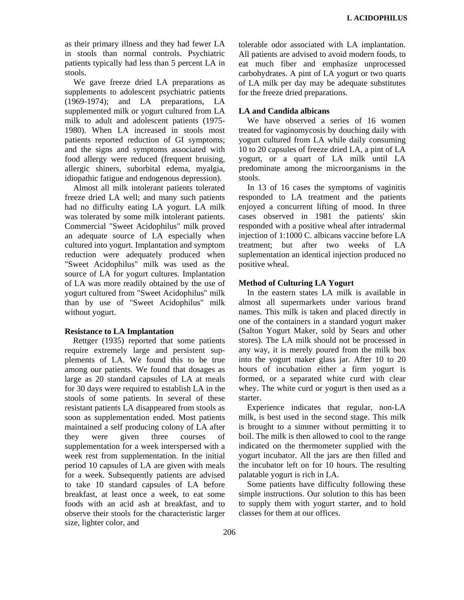as their primary illness and they had fewer LA in stools than normal controls. Psychiatric patients typically had less than 5 percent LA in stools.

We gave freeze dried LA preparations as supplements to adolescent psychiatric patients (1969-1974); and LA preparations, LA supplemented milk or yogurt cultured from LA milk to adult and adolescent patients (1975- 1980). When LA increased in stools most patients reported reduction of GI symptoms; and the signs and symptoms associated with food allergy were reduced (frequent bruising, allergic shiners, suborbital edema, myalgia, idiopathic fatigue and endogenous depression).

Almost all milk intolerant patients tolerated freeze dried LA well; and many such patients had no difficulty eating LA yogurt. LA milk was tolerated by some milk intolerant patients. Commercial "Sweet Acidophilus" milk proved an adequate source of LA especially when cultured into yogurt. Implantation and symptom reduction were adequately produced when "Sweet Acidophilus" milk was used as the source of LA for yogurt cultures. Implantation of LA was more readily obtained by the use of yogurt cultured from "Sweet Acidophilus" milk than by use of "Sweet Acidophilus" milk without yogurt.

# **Resistance to LA Implantation**

Rettger (1935) reported that some patients require extremely large and persistent supplements of LA. We found this to be true among our patients. We found that dosages as large as 20 standard capsules of LA at meals for 30 days were required to establish LA in the stools of some patients. In several of these resistant patients LA disappeared from stools as soon as supplementation ended. Most patients maintained a self producing colony of LA after they were given three courses of supplementation for a week interspersed with a week rest from supplementation. In the initial period 10 capsules of LA are given with meals for a week. Subsequently patients are advised to take 10 standard capsules of LA before breakfast, at least once a week, to eat some foods with an acid ash at breakfast, and to observe their stools for the characteristic larger size, lighter color, and

tolerable odor associated with LA implantation. All patients are advised to avoid modern foods, to eat much fiber and emphasize unprocessed carbohydrates. A pint of LA yogurt or two quarts of LA milk per day may be adequate substitutes for the freeze dried preparations.

# **LA and Candida albicans**

We have observed a series of 16 women treated for vaginomycosis by douching daily with yogurt cultured from LA while daily consuming 10 to 20 capsules of freeze dried LA, a pint of LA yogurt, or a quart of LA milk until LA predominate among the microorganisms in the stools.

In 13 of 16 cases the symptoms of vaginitis responded to LA treatment and the patients enjoyed a concurrent lifting of mood. In three cases observed in 1981 the patients' skin responded with a positive wheal after intradermal injection of 1:1000 C. albicans vaccine before LA treatment; but after two weeks of LA suplementation an identical injection produced no positive wheal.

# **Method of Culturing LA Yogurt**

In the eastern states LA milk is available in almost all supermarkets under various brand names. This milk is taken and placed directly in one of the containers in a standard yogurt maker (Salton Yogurt Maker, sold by Sears and other stores). The LA milk should not be processed in any way, it is merely poured from the milk box into the yogurt maker glass jar. After 10 to 20 hours of incubation either a firm yogurt is formed, or a separated white curd with clear whey. The white curd or yogurt is then used as a starter.

Experience indicates that regular, non-LA milk, is best used in the second stage. This milk is brought to a simmer without permitting it to boil. The milk is then allowed to cool to the range indicated on the thermometer supplied with the yogurt incubator. All the jars are then filled and the incubator left on for 10 hours. The resulting palatable yogurt is rich in LA.

Some patients have difficulty following these simple instructions. Our solution to this has been to supply them with yogurt starter, and to hold classes for them at our offices.